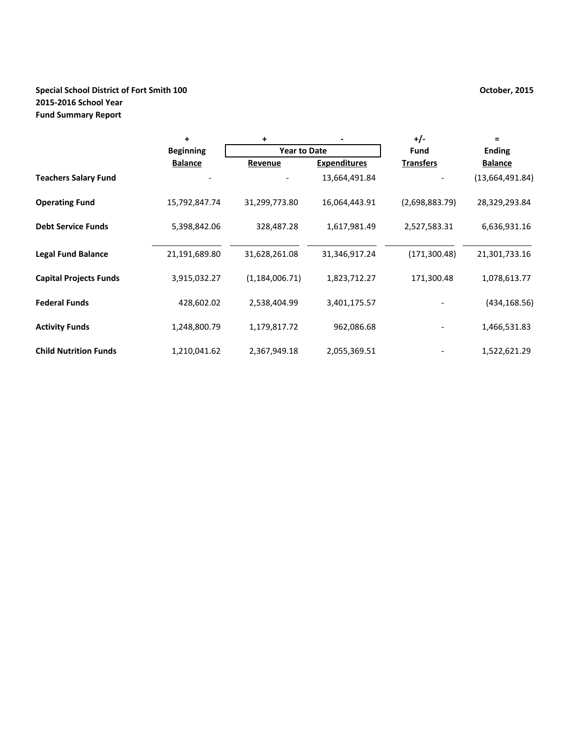# **Special School District of Fort Smith 100 October, 2015 2015-2016 School Year Fund Summary Report**

|                               | ÷                | $\ddot{}$           |                     | $+/-$            | $=$             |  |
|-------------------------------|------------------|---------------------|---------------------|------------------|-----------------|--|
|                               | <b>Beginning</b> | <b>Year to Date</b> |                     | Fund             | <b>Ending</b>   |  |
|                               | <b>Balance</b>   | Revenue             | <b>Expenditures</b> | <b>Transfers</b> | <b>Balance</b>  |  |
| <b>Teachers Salary Fund</b>   |                  |                     | 13,664,491.84       |                  | (13,664,491.84) |  |
| <b>Operating Fund</b>         | 15,792,847.74    | 31,299,773.80       | 16,064,443.91       | (2,698,883.79)   | 28,329,293.84   |  |
| <b>Debt Service Funds</b>     | 5,398,842.06     | 328,487.28          | 1,617,981.49        | 2,527,583.31     | 6,636,931.16    |  |
| <b>Legal Fund Balance</b>     | 21,191,689.80    | 31,628,261.08       | 31,346,917.24       | (171, 300.48)    | 21,301,733.16   |  |
| <b>Capital Projects Funds</b> | 3,915,032.27     | (1, 184, 006.71)    | 1,823,712.27        | 171,300.48       | 1,078,613.77    |  |
| <b>Federal Funds</b>          | 428,602.02       | 2,538,404.99        | 3,401,175.57        |                  | (434, 168.56)   |  |
| <b>Activity Funds</b>         | 1,248,800.79     | 1,179,817.72        | 962,086.68          |                  | 1,466,531.83    |  |
| <b>Child Nutrition Funds</b>  | 1,210,041.62     | 2,367,949.18        | 2,055,369.51        |                  | 1,522,621.29    |  |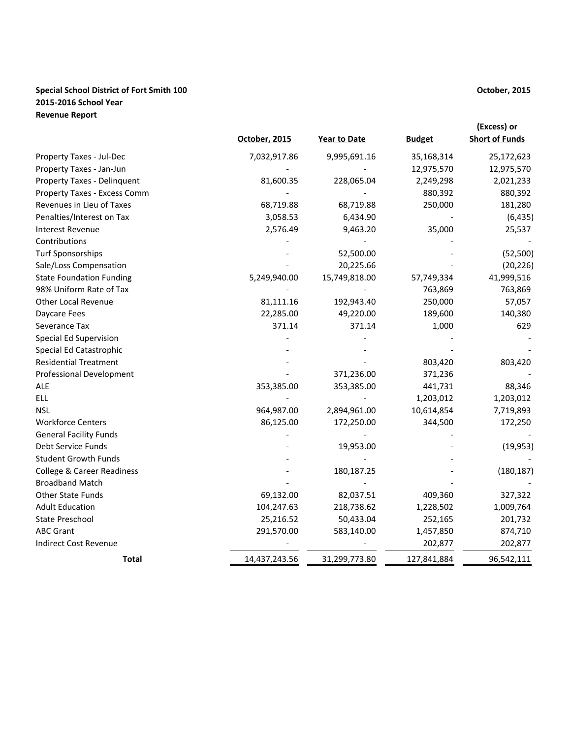# **Special School District of Fort Smith 100 October, 2015 2015-2016 School Year Revenue Report**

|                                       | October, 2015 | <b>Year to Date</b> | <b>Budget</b> | (Excess) or<br><b>Short of Funds</b> |
|---------------------------------------|---------------|---------------------|---------------|--------------------------------------|
| Property Taxes - Jul-Dec              | 7,032,917.86  | 9,995,691.16        | 35,168,314    | 25,172,623                           |
| Property Taxes - Jan-Jun              |               |                     | 12,975,570    | 12,975,570                           |
| Property Taxes - Delinquent           | 81,600.35     | 228,065.04          | 2,249,298     | 2,021,233                            |
| Property Taxes - Excess Comm          |               |                     | 880,392       | 880,392                              |
| Revenues in Lieu of Taxes             | 68,719.88     | 68,719.88           | 250,000       | 181,280                              |
| Penalties/Interest on Tax             | 3,058.53      | 6,434.90            |               | (6, 435)                             |
| Interest Revenue                      | 2,576.49      | 9,463.20            | 35,000        | 25,537                               |
| Contributions                         |               |                     |               |                                      |
| <b>Turf Sponsorships</b>              |               | 52,500.00           |               | (52, 500)                            |
| Sale/Loss Compensation                |               | 20,225.66           |               | (20, 226)                            |
| <b>State Foundation Funding</b>       | 5,249,940.00  | 15,749,818.00       | 57,749,334    | 41,999,516                           |
| 98% Uniform Rate of Tax               |               |                     | 763,869       | 763,869                              |
| Other Local Revenue                   | 81,111.16     | 192,943.40          | 250,000       | 57,057                               |
| Daycare Fees                          | 22,285.00     | 49,220.00           | 189,600       | 140,380                              |
| Severance Tax                         | 371.14        | 371.14              | 1,000         | 629                                  |
| Special Ed Supervision                |               |                     |               |                                      |
| Special Ed Catastrophic               |               |                     |               |                                      |
| <b>Residential Treatment</b>          |               |                     | 803,420       | 803,420                              |
| <b>Professional Development</b>       |               | 371,236.00          | 371,236       |                                      |
| <b>ALE</b>                            | 353,385.00    | 353,385.00          | 441,731       | 88,346                               |
| <b>ELL</b>                            |               |                     | 1,203,012     | 1,203,012                            |
| <b>NSL</b>                            | 964,987.00    | 2,894,961.00        | 10,614,854    | 7,719,893                            |
| <b>Workforce Centers</b>              | 86,125.00     | 172,250.00          | 344,500       | 172,250                              |
| <b>General Facility Funds</b>         |               |                     |               |                                      |
| Debt Service Funds                    |               | 19,953.00           |               | (19, 953)                            |
| <b>Student Growth Funds</b>           |               |                     |               |                                      |
| <b>College &amp; Career Readiness</b> |               | 180,187.25          |               | (180, 187)                           |
| <b>Broadband Match</b>                |               |                     |               |                                      |
| Other State Funds                     | 69,132.00     | 82,037.51           | 409,360       | 327,322                              |
| <b>Adult Education</b>                | 104,247.63    | 218,738.62          | 1,228,502     | 1,009,764                            |
| State Preschool                       | 25,216.52     | 50,433.04           | 252,165       | 201,732                              |
| <b>ABC Grant</b>                      | 291,570.00    | 583,140.00          | 1,457,850     | 874,710                              |
| <b>Indirect Cost Revenue</b>          |               |                     | 202,877       | 202,877                              |
| <b>Total</b>                          | 14,437,243.56 | 31,299,773.80       | 127,841,884   | 96,542,111                           |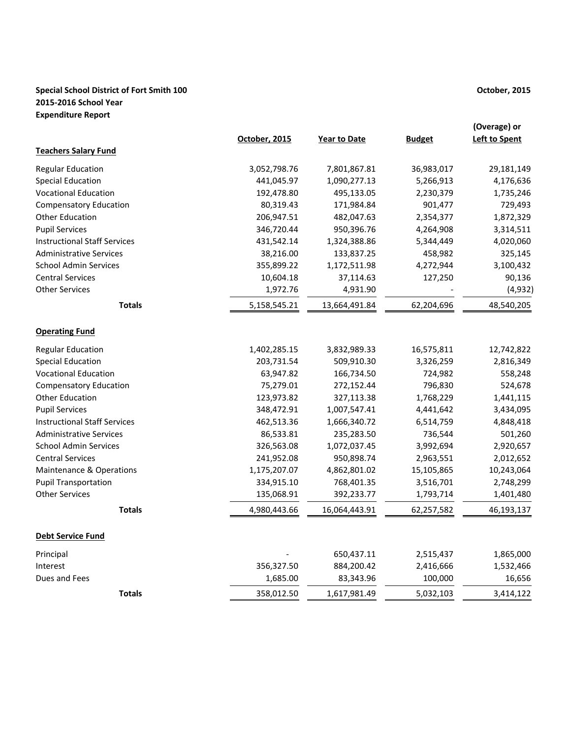# **Special School District of Fort Smith 100 October, 2015 2015-2016 School Year Expenditure Report**

|                                     |               |                     |               | (Overage) or         |
|-------------------------------------|---------------|---------------------|---------------|----------------------|
|                                     | October, 2015 | <b>Year to Date</b> | <b>Budget</b> | <b>Left to Spent</b> |
| <b>Teachers Salary Fund</b>         |               |                     |               |                      |
| <b>Regular Education</b>            | 3,052,798.76  | 7,801,867.81        | 36,983,017    | 29,181,149           |
| <b>Special Education</b>            | 441,045.97    | 1,090,277.13        | 5,266,913     | 4,176,636            |
| <b>Vocational Education</b>         | 192,478.80    | 495,133.05          | 2,230,379     | 1,735,246            |
| <b>Compensatory Education</b>       | 80,319.43     | 171,984.84          | 901,477       | 729,493              |
| <b>Other Education</b>              | 206,947.51    | 482,047.63          | 2,354,377     | 1,872,329            |
| <b>Pupil Services</b>               | 346,720.44    | 950,396.76          | 4,264,908     | 3,314,511            |
| <b>Instructional Staff Services</b> | 431,542.14    | 1,324,388.86        | 5,344,449     | 4,020,060            |
| <b>Administrative Services</b>      | 38,216.00     | 133,837.25          | 458,982       | 325,145              |
| <b>School Admin Services</b>        | 355,899.22    | 1,172,511.98        | 4,272,944     | 3,100,432            |
| <b>Central Services</b>             | 10,604.18     | 37,114.63           | 127,250       | 90,136               |
| <b>Other Services</b>               | 1,972.76      | 4,931.90            |               | (4,932)              |
| <b>Totals</b>                       | 5,158,545.21  | 13,664,491.84       | 62,204,696    | 48,540,205           |
| <b>Operating Fund</b>               |               |                     |               |                      |
| <b>Regular Education</b>            | 1,402,285.15  | 3,832,989.33        | 16,575,811    | 12,742,822           |
| <b>Special Education</b>            | 203,731.54    | 509,910.30          | 3,326,259     | 2,816,349            |
| <b>Vocational Education</b>         | 63,947.82     | 166,734.50          | 724,982       | 558,248              |
| <b>Compensatory Education</b>       | 75,279.01     | 272,152.44          | 796,830       | 524,678              |
| <b>Other Education</b>              | 123,973.82    | 327,113.38          | 1,768,229     | 1,441,115            |
| <b>Pupil Services</b>               | 348,472.91    | 1,007,547.41        | 4,441,642     | 3,434,095            |
| <b>Instructional Staff Services</b> | 462,513.36    | 1,666,340.72        | 6,514,759     | 4,848,418            |
| <b>Administrative Services</b>      | 86,533.81     | 235,283.50          | 736,544       | 501,260              |
| <b>School Admin Services</b>        | 326,563.08    | 1,072,037.45        | 3,992,694     | 2,920,657            |
| <b>Central Services</b>             | 241,952.08    | 950,898.74          | 2,963,551     | 2,012,652            |
| <b>Maintenance &amp; Operations</b> | 1,175,207.07  | 4,862,801.02        | 15,105,865    | 10,243,064           |
| <b>Pupil Transportation</b>         | 334,915.10    | 768,401.35          | 3,516,701     | 2,748,299            |
| <b>Other Services</b>               | 135,068.91    | 392,233.77          | 1,793,714     | 1,401,480            |
| <b>Totals</b>                       | 4,980,443.66  | 16,064,443.91       | 62,257,582    | 46,193,137           |
| <b>Debt Service Fund</b>            |               |                     |               |                      |
| Principal                           |               | 650,437.11          | 2,515,437     | 1,865,000            |
| Interest                            | 356,327.50    | 884,200.42          | 2,416,666     | 1,532,466            |
| Dues and Fees                       | 1,685.00      | 83,343.96           | 100,000       | 16,656               |
| <b>Totals</b>                       | 358,012.50    | 1,617,981.49        | 5,032,103     | 3,414,122            |
|                                     |               |                     |               |                      |